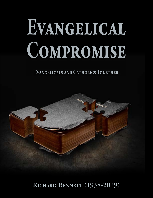# Evangelical COMPROMISE

Evangelicals and Catholics Together



**Richard Bennett (1938-2019)**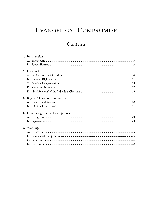# EVANGELICAL COMPROMISE

# Contents

|  | 1. Introduction                      |  |
|--|--------------------------------------|--|
|  |                                      |  |
|  |                                      |  |
|  | 2. Doctrinal Errors                  |  |
|  |                                      |  |
|  |                                      |  |
|  |                                      |  |
|  |                                      |  |
|  |                                      |  |
|  | 3. Bogus Defenses of Compromise      |  |
|  |                                      |  |
|  |                                      |  |
|  | 4. Devastating Effects of Compromise |  |
|  |                                      |  |
|  |                                      |  |
|  | 5. Warnings                          |  |
|  |                                      |  |
|  |                                      |  |
|  |                                      |  |
|  |                                      |  |
|  |                                      |  |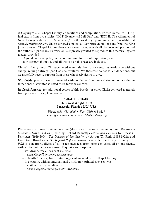© Copyright 2020 Chapel Library: annotations and compilation. Printed in the USA. Original text is from two articles: "ECT: Evangelical Sell Out" and "ECT II: The Alignment of New Evangelicals with Catholicism," both used by permission and available at *www.BereanBeacon.org*. Unless otherwise noted, all Scripture quotations are from the King James Version. Chapel Library does not necessarily agree with all the doctrinal positions of the authors it publishes. Permission is expressly granted to reproduce this material by any means, provided

- 1) you do not charge beyond a nominal sum for cost of duplication, and
- 2) this copyright notice and all the text on this page are included.

Chapel Library sends Christ-centered materials from prior centuries worldwide without charge, relying entirely upon God's faithfulness. We therefore do not solicit donations, but we gratefully receive support from those who freely desire to give.

Worldwide, please download material without charge from our website, or contact the international distributor as listed there for your country.

In North America, for additional copies of this booklet or other Christ-centered materials from prior centuries, please contact

#### CHAPEL LIBRARY 2603 West Wright Street Pensacola, Florida 32505 USA

*Phone: (850) 438-6666* • *Fax: (850) 438-0227 [chapel@mountzion.org](mailto:chapel@mountzion.org)* • *[www.ChapelLibrary.org](http://www.mountzion.org/)*

Please see also *From Tradition to Truth* (the author's personal testimony) and *The Roman Catholic – Lutheran Accord*, both by Richard Bennett; *Doctrine and Devotion* by Ernest C. Reisinger (1919-2004); *The Doctrine of Justification* by Arthur W. Pink (1886-1952); and Free Grace Broadcaster 191, *Imputed Righteousness*—all available from Chapel Library. The *FGB* is a quarterly digest of six to ten messages from prior centuries, all on one theme, with a different theme each issue. Request a subscription

- worldwide, free eBook sent via email:
	- *[www.ChapelLibrary.org/subscriptions/](http://www.chapellibrary.org/broadcaster/fgb-subscriptions/)*
- in North America, free printed copy sent via mail: write Chapel Library
- in a country with an international distributor, printed copy sent via mail; write to them directly: *[www.ChapelLibrary.org/about/distributors/](http://www.chapellibrary.org/broadcaster/fgb-distributors/)*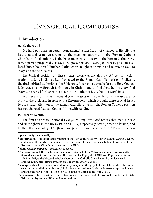# EVANGELICAL COMPROMISE

# <span id="page-3-0"></span>1. Introduction

#### <span id="page-3-1"></span>A. Background

Die-hard positions on certain fundamental issues have not changed in literally the last thousand years. According to the teaching authority of the Roman Catholic Church, the final authority is the Pope and papal authority. In the Roman Catholic sys-tem, a person purportedly<sup>[1](#page-3-3)</sup> is saved by grace plus one's own good works, plus one's alleged "inner holiness." Further, Catholics are taught to worship and to pray to God, to Mary, and to their "saints."

The biblical position on these issues, clearly enunciated by  $16<sup>th</sup>$  century Refor-mation<sup>[2](#page-3-4)</sup> leaders, is diametrically<sup>[3](#page-3-5)</sup> opposed to the Roman Catholic position. Biblically, the final spiritual authority is the Bible only. A person is saved before the Holy God only by grace—only through faith—only in Christ—and to God alone be the glory. And Mary is respected for her role as the earthly mother of Jesus, but not worshipped.

Yet literally for the last thousand years, in spite of the wonderfully increased availability of the Bible and in spite of the Reformation—which brought these crucial issues to the critical attention of the Roman Catholic Church—the Roman Catholic position has not changed, Vatican Council II<sup>[4](#page-3-6)</sup> notwithstanding.

#### <span id="page-3-2"></span>B. Recent Events

 $\overline{a}$ 

The first and second National Evangelical Anglican Conferences that met at Keele and Nottingham in the UK in 1967 and 1977, respectively, were primed to launch, and further, the new policy of Anglican evangelicals<sup>[5](#page-3-7)</sup> towards ecumenism.<sup>[6](#page-3-8)</sup> There was a new

<span id="page-3-3"></span><sup>&</sup>lt;sup>1</sup> **purportedly** – supposedly.

<span id="page-3-4"></span><sup>&</sup>lt;sup>2</sup> **Reformation** – Protestant Reformation of the 16th century led by Luther, Calvin, Zwingli, Knox, and many others, which sought a return from some of the erroneous beliefs and practices of the Roman Catholic Church to the truths of the Bible.

<span id="page-3-5"></span><sup>3</sup> **diametrically opposed** – absolutely opposed.

<span id="page-3-6"></span><sup>4</sup> **Vatican Council II** – the Second Ecumenical Council of the Vatican, commonly known as the Second Vatican Council or Vatican II. It met under Pope John XXIII and Pope Paul VI from 1962 to 1965, and addressed relations between the Catholic Church and the modern world, including ecumenical efforts towards dialogue with other religions.

<span id="page-3-7"></span><sup>5</sup> **evangelicals** – Christians who hold to the principles of the gospel of Jesus Christ: the Bible as the sole source of religious authority (2Ti 3:16), and salvation only through personal spiritual regeneration (the new birth; Joh 3:3-8) by faith alone in Christ alone (Eph 2:8-9).

<span id="page-3-8"></span><sup>6</sup> **ecumenism** – belief that doctrinal differences, even errors, should be overlooked in favor of establishing a unity among different denominations.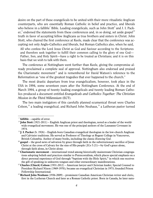desire on the part of these evangelicals to be united with their more ritualistic Anglican counterparts, who are essentially Roman Catholic in belief and practice, and liberals who believe in a fallible<sup>[7](#page-4-0)</sup> Bible. Leading evangelicals, such as John Stott $^{\rm 8}$  $^{\rm 8}$  $^{\rm 8}$  and J. I. Pack-er,<sup>[9](#page-4-2)</sup> endorsed the statements from these conferences and, in so doing, set aside gospel<sup>[10](#page-4-3)</sup> truth in favor of accepting fellow Anglicans as true brothers and sisters in Christ. John Stott, who chaired the first conference at Keele, made clear that the conference was accepting not only Anglo-Catholics and liberals, but Roman Catholics also, when he said,

All who confess the Lord Jesus Christ as God and Saviour according to the Scriptures and therefore seek together to fulfill their common calling to the glory of one God— Father, Son, and Holy Spirit—have a right to be treated as Christians; and it is on this basis that we wish to talk with them.

The conference at Nottingham went further than Keele, giving the compromise already proclaimed a complete seal of approval. Nottingham also endorsed and praised the Charismatic movement<sup>[11](#page-4-4)</sup> and is remembered for David Watson's reference to the Reformation as "one of the greatest tragedies that ever happened to the church."

The most drastic departure from true evangelicalism, however, took place in the USA in 1994, some seventeen years after the Nottingham Conference. At the end of March 1994, a group of twenty leading evangelicals and twenty leading Roman Catholics produced a document entitled *Evangelicals and Catholics Together: The Christian Mission in the Third Millennium* (ECT).

The two main instigators of this carefully planned ecumenical thrust were Charles Colson,<sup>[12](#page-4-5)</sup> a leading evangelical, and Richard John Neuhaus,<sup>[13](#page-4-6)</sup> a Lutheran pastor turned

<span id="page-4-1"></span><span id="page-4-0"></span><sup>7</sup> **fallible** – capable of error.

<sup>8</sup> **John Stott** (1921-2011) – English Anglican priest and theologian, noted as a leader of the worldwide evangelical movement. He was one of the principal authors of the Lausanne Covenant in 1974.

<span id="page-4-2"></span><sup>9</sup> **J. I. Packer** (b. 1926) – English-born Canadian evangelical theologian in the low-church Anglican and Calvinist traditions. He served as Professor of Theology at Regent College in Vancouver, British Columbia. Author of many books, including the classic *Knowing God*.

<span id="page-4-3"></span><sup>&</sup>lt;sup>10</sup> gospel – the good news of salvation by grace through faith in the substitutionary sacrifice of Jesus Christ at the cross of Calvary for the sins of His people (2Co 5:21)—by God's grace alone, through faith alone, in Christ alone.

<span id="page-4-4"></span><sup>11</sup> **Charismatic movement** – international trend among historically mainstream Christian congregations adopting beliefs and practices similar to Pentecostalism, which places special emphasis on a direct personal experience of God through "baptism with the Holy Spirit," in which one receives the gift of speaking in unknown tongues and other extraordinary manifestations.

<span id="page-4-5"></span><sup>12</sup> **Charles (Chuck) Colson** (1931-2012) – American lawyer and Christian leader; Special Counsel to President Richard Nixon (1969-1970); became an evangelical Christian in 1973; founded Prison Fellowship International.

<span id="page-4-6"></span><sup>13</sup> **Richard John Neuhaus** (1936-2009) – prominent Canadian American Christian writer and cleric, first in the Lutheran Church and later as a Roman Catholic priest. Born in Canada, he later natu-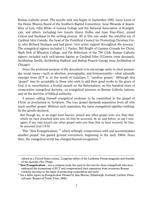Roman Catholic priest. The specific task was begun in September 1992. Larry Lewis of the Home Mission Board of the Southern Baptist Convention, Jesse Miranda of Assemblies of God, John White of Geneva College and the National Association of Evangelicals, and others, including two Jesuits (Avery Dulles and Juan Diaz-Vilar), joined Colson and Neuhaus in the writing process. All of this was under the watchful eye of Cardinal Idris Cassidy, the head of the Pontifical Council for Promoting Christian Unity, who Richard Neuhaus said had given "very active support throughout the process." The evangelical signers included J. I. Packer, Bill Bright of Campus Crusade for Christ, Mark Noll of Wheaton College, and Pat Robertson of the 700 Club. Roman Catholic signers included such well-known figures as Cardinal John O'Connor (now deceased), Archbishop Sevilla, Archbishop Stafford, and Bishop Francis George (now Archbishop of Chicago).

Since the professed purpose of the document is to encourage unity to meet presentday social issues—such as abortion, pornography, and homosexuality—what naturally emerges from *ECT* is, in the words of Galatians 1, "another gospel." Although this "gospel" may be acceptable to those who wish to add their good works to the grace of God, it is, nevertheless, a frontal assault on the Reformation, on five hundred years of conservative evangelical doctrine, on evangelical missions in Roman Catholic nations, and on the doctrine of biblical authority.

A person calling himself evangelical professes to be committed to the gospel of Christ as proclaimed in Scripture. The true gospel demands separation from all who teach another gospel. Without such separation the name *evangelical* signifies nothing. As the apostle declared,

But though we, or an angel from heaven, preach any other gospel unto you than that which we have preached unto you, let him be accursed. As we said before, so say I now again, if any man preach any other gospel unto you than that ye have received, let him be accursed (Gal 1:8-9).

This "New Evangelicalism,"<sup>[14](#page-5-0)</sup> which willingly compromises with and accommodates *another gospel*, has gained ground everywhere, beginning in the early 1960s. Since then, the evangelical world has changed beyond recognition.<sup>[15](#page-5-1)</sup>

ralized as a United States citizen. Longtime editor of the Lutheran Forum magazine and founder of the monthly *First Things*.

<span id="page-5-0"></span><sup>14</sup> **New Evangelicalism** – not a common term, but used in this text for those evangelicals who have embraced the ecumenism of *ECT* and compromised their separation from erroneous Roman Catholic doctrine in the name of promoting cooperation and unity.

<span id="page-5-1"></span><sup>15</sup> See a fuller report in *Evangelicalism Divided* by Iain Murray (Edinburgh, Scotland; Carlisle, Pennsylvania: Banner of Truth Trust, 2000).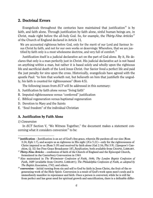## <span id="page-6-0"></span>2. Doctrinal Errors

Evangelicals throughout the centuries have maintained that justification<sup>[16](#page-6-2)</sup> is by faith, and faith alone. Through justification by faith alone, sinful human beings are, in Christ, made right before the all-holy God. So, for example, the *Thirty-Nine Articles*[17](#page-6-3) of the Church of England declared in Article 11*,* 

We are accounted righteous before God, only for the merit of our Lord and Saviour Jesus Christ by faith, and not for our own works or deservings: Wherefore, that we are jus-tified by faith only is a most wholesome doctrine, and very full of comfort.<sup>[18](#page-6-4)</sup>

Justification itself is a judicial declarative act on the part of God alone. By it, He declares that only is a man perfectly just in Christ. His judicial declarative act is not based on anything within a man, but rather it is based solely and wholly upon the righteous life and sacrificial death of the Lord Jesus Christ. Our Savior lived a perfect life and paid the just penalty for sins upon the cross. Historically, evangelicals have agreed with the apostle Paul: "to him that worketh not, but believeth on him that justifieth the ungodly, his faith is counted for righteousness" (Rom 4:5).

The following issues from *ECT* will be addressed in this summary:

- A. Justification by faith alone versus "living faith"
- B. Imputed righteousness versus "conferred" justification
- C. Biblical regeneration versus baptismal regeneration
- D. Devotion to Mary and the Saints
- E. "Soul freedom" of the individual Christian

#### <span id="page-6-1"></span>A. Justification by Faith Alone

#### *1) Conversion*

 $\overline{a}$ 

In *ECT* Section V, "We Witness Together," the document makes a statement concerning what it considers conversion $19$  to be:

<span id="page-6-2"></span><sup>&</sup>lt;sup>16</sup> iustification – Iustification is an act of God's free grace, wherein He pardons all our sins (Rom 3:24; Eph 1:7), and accepts us as righteous in His sight (2Co 5:21)—only for the righteousness of Christ imputed to us (Rom 5:19) and received by faith alone (Gal 2:16; Phi 3:9). (*Spurgeon's Catechism*, Q. 32) See Free Grace Broadcaster 187, *Justification*; both available from CHAPEL LIBRARY.

<span id="page-6-3"></span><sup>&</sup>lt;sup>17</sup> **Thirty-Nine Articles** – confession of faith of the Church of England and the Episcopal Church, formulated in the Canterbury Convocation in 1563.

<span id="page-6-4"></span><sup>&</sup>lt;sup>18</sup> Also maintained in *The Westminster Confession of Faith, 1646; The London Baptist Confession of Faith, 1689* (available from CHAPEL LIBRARY)*; The Philadelphia Confession of Faith, as adopted by The Baptist Association, 1742;* and others.

<span id="page-6-5"></span><sup>&</sup>lt;sup>19</sup> **conversion** – initial turning from sin and self to God by faith in Jesus Christ, the fruit of the regenerating work of the Holy Spirit. Conversion is a result of God's work upon men's souls and is immediately manifest in repentance and faith. Once a person is converted, while he is still far from perfect and has great need for spiritual growth and sanctification, there is a definable differ-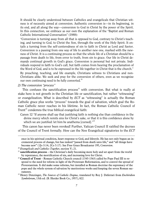It should be clearly understood between Catholics and evangelicals that Christian witness is of necessity aimed at conversion. Authentic conversion is—in its beginning, in its end, and all along the way—conversion to God in Christ by the power of the Spirit. In this connection, we embrace as our own the explanation of the "Baptist and Roman Catholic International Conversation" (1988):

"Conversion is turning away from all that is opposed to God, contrary to Christ's teaching, and turning to God, to Christ the Son, through the work of the Holy Spirit. It entails a turning from the self-centeredness of sin to faith in Christ as Lord and Savior. Conversion is a passing from one way of life to another new one, marked with the newness of Christ. It is a continuing process so that the whole life of a Christian should be a passage from death to life, from error to truth, from sin to grace. Our life in Christ demands continual growth in God's grace. Conversion is personal but not private. Individuals respond in faith to God's call, but faith comes from hearing the proclamation of the Word of God, and is to be expressed in the life together in Christ that is the church." By preaching, teaching, and life example, Christians witness to Christians and non-Christians alike. We seek and pray for the conversion of others, even as we recognize our own continuing need to be fully converted.<sup>[20](#page-7-0)</sup>

*2) The conversion "process"*

 $\overline{a}$ 

This confuses the sanctification process<sup>[21](#page-7-1)</sup> with conversion. But what is really at stake here is not growth in the Christian life or sanctification, but rather "witnessing" or evangelization. What is described by *ECT* as "witnessing" is actually the Roman Catholic grace plus works "process" towards the goal of salvation, which goal the Roman Catholic never reaches in his lifetime. In fact, the Roman Catholic Council of Trent<sup>[22](#page-7-2)</sup> condemns the true biblical evangelical faith:

Canon 12 "If anyone shall say that justifying faith is nothing else than confidence in the divine mercy which remits sins for Christ's sake, or that it is this confidence alone by which we are justified: let him be anathema [cursed]."<sup>[23](#page-7-3)</sup>

This canon has never been revoked! Further, Vatican Council II ratified the decrees of the Council of Trent formally. How can the New Evangelical signatories to the *ECT*

ence in his spiritual condition, heart response to God, and lifestyle. He has not only begun an incremental process of change, but has indeed "passed from death unto life," and "all things have become new" (1Jo 3:14; 2Co 5:17). See Free Grace Broadcaster 195, *Conversion*.

<span id="page-7-0"></span><sup>&</sup>lt;sup>20</sup> Evangelicals and Catholics Together, section V; 21.

<span id="page-7-1"></span><sup>21</sup> **sanctification process** – the Christian's daily becoming more holy and set apart from the world by repentance, the mortification of sin, and increasing love for Christ.

<span id="page-7-2"></span><sup>22</sup> **Council of Trent** – Roman Catholic Church council (1545-1563) called by Pope Paul III to respond to the need for reform in light of the Protestant Reformation, and to control the spread of Protestantism. It did make some reforms, but installed as Roman doctrine the supremacy of the pope and the whole system of salvation by meritorious works and keeping the seven Roman sacraments.

<span id="page-7-3"></span><sup>23</sup> Henry Denzinger, *The Sources of Catholic Dogma*, translated by Roy J. Deferrari from *Enchiridion Symbolorum*, 13th ed. (B. Herder Book Co., 1957), 822.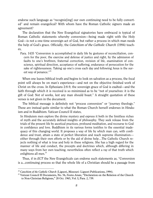endorse such language as "recogniz[ing] our own continuing need to be fully converted" and remain evangelical? With whom have the Roman Catholic signers made an agreement?

The declaration that the New Evangelical signatories have embraced is typical of Roman Catholic statements whereby conversion—being made right with the Holy God—is not a one-time sovereign act of God, but rather a process in which man needs the help of God's grace. Officially, the *Catechism of the Catholic Church* (1994) teaches,

Para. 1435 "Conversion is accomplished in daily life by gestures of reconciliation, concern for the poor, the exercise and defense of justice and right, by the admission of faults to one's brethren, fraternal correction, revision of life, examination of conscience, spiritual direction, acceptance of suffering, endurance of persecution for the sake of righteousness. Taking up one's cross each day and following Jesus is the sur-est way of penance."<sup>[24](#page-8-0)</sup>

When one leaves biblical truth and begins to look on salvation as a process, the focal point will always be on man's experience—and not on the objective finished work of Christ on the cross. In Ephesians 2:8-9, the sovereign grace of God is exalted—and the faith through which it is received is so minimized as to be "not of yourselves: it is the gift of God: Not of works, lest any man should boast." A straight quotation of these verses is not given in the document.

The biblical message is definitely not "process conversion" or "journey theology." These are instead quite similar to what the Roman Church herself endorses in Hinduism and in Buddhism. Vatican Council II states,

In Hinduism men explore the divine mystery and express it both in the limitless riches of myth and the accurately defined insights of philosophy. They seek release from the trials of the present life by ascetical practices, profound meditation, and recourse to God in confidence and love. Buddhism in its various forms testifies to the essential inadequacy of this changing world. It proposes a way of life by which man can, with confidence and trust, attain a state of perfect liberation and reach supreme illumination either through their own efforts or by the aid of divine help…The Catholic Church rejects nothing of what is true and holy in these religions. She has a high regard for the manner of life and conduct, the precepts and doctrines which, although differing in many ways from her own teaching, nevertheless often reflect a ray of that truth which enlightens all men. $^{25}$  $^{25}$  $^{25}$ 

Thus, if in *ECT* the New Evangelicals can endorse such statements as, "Conversion is a...continuing process so that the whole life of a Christian should be a passage from

<span id="page-8-0"></span><sup>&</sup>lt;sup>24</sup> Catechism of the Catholic Church (Liguori, Missouri: Liguori Publications, 1994).

<span id="page-8-1"></span><sup>25</sup> Vatican Council II Documents, No. 56, *Nostra Aetate*, "Declaration on the Relation of the Church to Non-Christian Religions," 28 Oct. 1965, Vol. I, Para. 2, 739.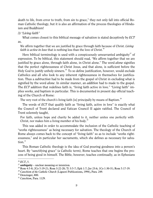death to life, from error to truth, from sin to grace," they not only fall into official Roman Catholic theology, but it is also an affirmation of the process theologies of Hinduism and Buddhism!

#### *3) "Living faith"*

What comes closest to this biblical message of salvation is stated deceptively by *ECT* as,

We affirm together that we are justified by grace through faith because of Christ. *Living faith is active in love* that is nothing less than the love of Christ.<sup>[26](#page-9-0)</sup>

Here biblical terminology is used with a conspicuously unwarranted ambiguity<sup>[27](#page-9-1)</sup> of expression. To be biblical, this statement should read, "We affirm together that we are justified by grace alone, through faith alone, in Christ alone." The word *alone* signifies that the perfect righteousness of Christ Jesus, and that alone, is sufficient before the Holy God to justify unholy sinners.<sup>[28](#page-9-2)</sup> To so define justification, however, would exclude Catholics and all who look to any inherent righteousness in themselves for justification. Thus a *subtraction* had to be made from the gospel of Christ in excluding what is signified by the word *alone*. In similar manner, an *addition* had to made to the gospel. The *ECT* addition that redefines faith is, "living faith active in love." "Living faith" implies works, and baptism in particular. This is documented in present day official teaching of the Church of Rome:

The very root of the church's living faith [is] principally by means of Baptism.<sup>[29](#page-9-3)</sup>

The words of *ECT* that qualify faith as "living faith, active in love" is exactly what the Council of Trent declared and Vatican Council II again ratified. The Council of Trent solemnly taught,

For faith, unless hope and charity be added to it, neither unites one perfectly with Christ, nor makes him a living member of his body.<sup>[30](#page-9-4)</sup>

This was added in order to accommodate the inclusion of the Catholic teaching of "works righteousness" as being necessary for salvation. The theology of the Church of Rome always comes back to the concept of "living faith" so as to include "works righteousness," and in particular her sacraments, which she defines as necessary for salva-tion.<sup>[31](#page-9-5)</sup>

This Roman Catholic theology is the idea of God pouring goodness into a person's heart. By "sanctifying grace" (a Catholic term), Rome teaches that one begins the process of being good in himself. The Bible, however, teaches continually, as in Ephesians

 $\overline{a}$ <sup>26</sup> *ECT*, 5.

<span id="page-9-1"></span><span id="page-9-0"></span><sup>27</sup> **ambiguity** – unclear meaning or intention.

<span id="page-9-2"></span><sup>28</sup> Rom 4:5-8; 2Co 5:19-21; Rom 3:22-28; Ti 3:5-7; Eph 1:7; Jer 23:6; 1Co 1:30-31; Rom 5:17-19.

<span id="page-9-3"></span><sup>29</sup> *Catechism of the Catholic Church* (Liguori Publications, 1994), Para. 249.

<span id="page-9-4"></span> $30$  Denzinger, 800.

<span id="page-9-5"></span><sup>31</sup> *Catechism*, Para. 1129.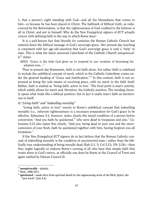1, that a person's right standing with God—and all the blessedness that comes to him—is because he has been placed in Christ. The hallmark of biblical truth, as rediscovered by the Reformation, is that the righteousness of God credited to the believer is all in Christ, and *not* in himself. Why do the New Evangelical signers of *ECT* actually concur with defining faith in the way in which Rome does?

It is a well-known fact that literally for centuries the Roman Catholic Church has watered down the biblical message of God's sovereign grace. Her present-day teaching is consistent with her age-old assertion that God's sovereign grace is only a "help" to man. This is what the latest universal *Catechism of the Catholic Church* unequivocal- $lv<sup>32</sup>$  $lv<sup>32</sup>$  $lv<sup>32</sup>$  states:

#2021 "Grace is the help God gives us to respond to our vocation of becoming his adopted sons…"

Thus in present day Romanism, faith is not faith alone, but rather faith is redefined to include the unbiblical concept of merit, which in the Catholic *Catechism* comes under the general heading of "Grace and Justification." [33](#page-10-1) In this context, faith is not expressed as being the sole means of receiving grace, with no merit in the faith itself. Rather, faith is exalted as "living faith, active in love." The focal point is man's activity, which subtly allows for merit and, therefore, the Catholic position. The wording cleverly opens what looks like a biblical position, but in fact it exalts man's faith as meritorious in itself.

#### *4) "Living faith" and "indwelling morality"*

"Living faith, active in love" reverts to Rome's unbiblical concept that indwelling morality (i.e., inherent righteousness) is a necessary preparation for God's grace to be effective. Ephesians 2:1, however, states clearly the moral condition of a person before conversion: "And you hath he quickened,<sup>[34](#page-10-2)</sup> who were *dead* in trespasses and sins." Colossians 2:13 also states this clearly, "And you, being dead in your sins and the uncircumcision of your flesh, hath he quickened together with him, having forgiven you all trespasses."

If the New Evangelical *ECT* signers do in fact believe that the Roman Catholic concept of indwelling morality is the condition of unconverted man—rather than the biblically true understanding of being morally dead (Eph 2:1, 5; Col 2:13; 1Pe 2:24)—then they ought logically to endorse Rome's cursing of all who have that simple faith that trusts alone in God's mercy, as officially was done by Rome at the Council of Trent and again ratified by Vatican Council II:

<span id="page-10-0"></span><sup>32</sup> **unequivocally** – plainly.

<span id="page-10-1"></span><sup>&</sup>lt;sup>33</sup> Ibid., 2006-2011.

<span id="page-10-2"></span><sup>&</sup>lt;sup>34</sup> quickened – made alive from spiritual death by the regenerating work of the Holy Spirit, the "new birth" (Joh 3:6).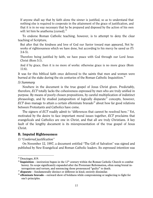If anyone shall say that by faith alone the sinner is justified, so as to understand that nothing else is required to cooperate in the attainment of the grace of justification, and that it is in no way necessary that he be prepared and disposed by the action of his own will: let him be anathema [cursed].<sup>[35](#page-11-1)</sup>

To endorse Roman Catholic teaching, however, is to attempt to deny the clear teaching of Scripture,

But after that the kindness and love of God our Savior toward man appeared, Not by works of righteousness which we have done, but according to his mercy he saved us (Ti 3:4-5).

Therefore being justified by faith, we have peace with God through our Lord Jesus Christ (Rom 5:1).

And if by grace, then it is no more of works: otherwise grace is no more grace (Rom 11:6).

It was for this biblical faith once delivered to the saints that men and women were burned at the stake during the six centuries of the Roman Catholic Inquisition.<sup>[36](#page-11-2)</sup>

#### *5) Summary*

Nowhere in the document is the true gospel of Jesus Christ given. Predictably, therefore, *ECT* totally lacks the cohesiveness expressed by men who are truly unified in purpose. By means of poorly chosen prepositions, by careful multiplication of indistinct phraseology, and by studied juxtaposition of logically disparate<sup>[37](#page-11-3)</sup> concepts, however, *ECT* does manage to attain a certain effeminate bravado<sup>[38](#page-11-4)</sup> about how far good relations between Protestants and Catholics have come.

The signers of *ECT* readily admit to "differences that cannot be resolved here." Yet, motivated by the desire to face important moral issues together, *ECT* proclaims that evangelicals and Catholics are one in Christ, and that all are truly Christians. A key fault of the lengthy document is its misrepresentation of the true gospel of Jesus Christ.

#### <span id="page-11-0"></span>B. Imputed Righteousness

#### *1) "Conferred justification"*

On November 12, 1997, a document entitled "The Gift of Salvation" was signed and published by New Evangelical and Roman Catholic leaders. Its expressed intention was

<span id="page-11-1"></span> $35$  Denzinger, 819.

<span id="page-11-2"></span><sup>&</sup>lt;sup>36</sup> Inquisition – institution begun in the  $12<sup>th</sup>$  century within the Roman Catholic Church to combat heresy. Its scope significantly expanded after the Protestant Reformation, often using brutal interrogations and torture, and sentencing those pronounced "guilty" to death.

<span id="page-11-3"></span><sup>37</sup> **disparate** – fundamentally distinct or different in kind; entirely dissimilar.

<span id="page-11-4"></span><sup>38</sup> **effeminate bravado** – outward show of boldness while compromising or neglecting to fight for one's principles.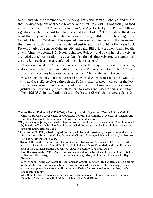to demonstrate the "common faith" of evangelicals and Roman Catholics, and to further "acknowledge one another as brothers and sisters in Christ." It was then published in the December 8, 1997, issue of *Christianity Today.* Explicitly, the Roman Catholic signatories such as Richard John Neuhaus and Avery Dulles, $39$  S. J., $40$  state in the document that they are "Catholics who are conscientiously faithful to the teaching of the Catholic Church." What might be expected then is in fact discovered in the document: the Roman Catholic doctrine of "conferred justification" is taught as the gospel! J.I. Packer, Charles Colson, Os Guinness, Richard Land, Bill Bright are now joined together with Timothy George, T. M. Moore, John Woodbridge, $41$  and others in not only giving a clouded gospel-justification message, but also (in a distinctively erudite manner) endorsing Rome's doctrine of "conferred inner righteousness."

The document states, "Justification is central to the scriptural account of salvation, and its meaning has been much debated between Protestants and Catholics." Then it claims that the signers have reached an agreement. Their statement of accord is,

We agree that justification is not earned by any good works or merits of our own; it is entirely God's gift, *conferred* through the Father's sheer graciousness, out of the love that he bears us in his Son, who suffered on our behalf and rose from the dead for our justification. Jesus was "put to death for our trespasses and raised for our justification" (Rom 4:25 RSV). In justification, God, on the basis of Christ's righteousness alone, de-

<span id="page-12-0"></span><sup>39</sup> **Avery Robert Dulles**, S.J. (1918-2008) – Jesuit priest, theologian, and Cardinal of the Catholic Church. Served on the faculties of Woodstock College, The Catholic University of America, and Fordham University. Internationally known author and lecturer.

<span id="page-12-1"></span><sup>40</sup> **S. J.** – Society of Jesus; a scholarly religious brotherhood for men of the Catholic Church founded by Ignatius of Loyola in 1540. Members are called Jesuits, are involved in religious service, and promote ecumenical dialogue.

<span id="page-12-2"></span><sup>41</sup> **Os Guiness** (b. 1941) – Irish-English lecturer, scholar, and Christian apologist; educated at Oxford; currently living in the USA; founded the Trinity Forum; originally Anglican, but left due to religious liberalism in 2006.

**Richard D. Land** (b. 1946) – President of Southern Evangelical Seminary in Charlotte, North Carolina; formerly president of the Ethics & Religious Liberty Commission, the public policy arm of the Southern Baptist Convention; executive editor of *The Christian Post*.

**Timothy George** (b. 1950) – American theologian and journalist; dean of Beeson Divinity School at Samford University; executive editor for *Christianity Today*; fellow for The Center for Baptist Renewal.

**T. M. Moore** – American pastor at Cedar Springs Church in Knoxville, Tennessee. He is a fellow of the Wilberforce Forum and editor of its online journal, *Findings*. His books, essays, reviews, articles, and poetry have been published widely. He is a frequent speaker at churches, conferences, and seminars.

**John Woodbridge** – American author and research professor of church history and Christian thought at Trinity Evangelical Divinity School, Deerfield, Illinois.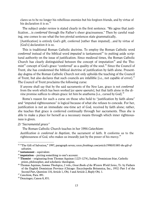clares us to be no longer his rebellious enemies but his forgiven friends, and by virtue of his declaration it is so. $42$ 

The subject under review is stated clearly in the first sentence. "We agree that justification…is *conferred* through the Father's sheer graciousness." Then by careful reading, one comes to see what the two pivotal sentences state grammatically,

[Justification] is entirely God's gift, conferred [rather than imputed]…and by virtue of [God's] declaration it is so.

This is traditional Roman Catholic doctrine. To employ the Roman Catholic word *conferred* instead of the biblical word *imputed* is tantamount<sup>[43](#page-13-1)</sup> to putting aside scriptural authority on the issue of justification. Since medieval times, the Roman Catholic Church has clearly distinguished between the concept of imputation<sup> $44$ </sup> and the Tho-mist<sup>[45](#page-13-3)</sup> concept of God's grace "conferred" as a quality of the soul.<sup>[46](#page-13-4)</sup> Since the Council of Trent, she has condemned the biblical doctrine of justification by faith alone. Presentday dogma of the Roman Catholic Church not only upholds the teaching of the Council of Trent, but also declares that such councils are infallible [i.e., not capable of error].<sup>[47](#page-13-5)</sup> The Council of Trent proclaims the following curse:

If anyone shall say that by the said sacraments of the New Law, grace is not *conferred* from the work which has been worked [*ex opere operato*], but that faith alone in the divine promise suffices to obtain grace: let him be anathema [i.e., cursed by God]. $48$ 

Rome's reason for such a curse on those who hold to "justification by faith alone" and "imputed righteousness" is logical because of what she refuses to concede. For her, justification is not an immediate one-time act of God, received by faith alone; rather, she teaches that grace is conferred continually through her sacraments. Thus she is able to make a place for herself as a necessary means through which inner righteousness is given.

*2) "Sacramental grace"*

The Roman Catholic Church teaches in her 1994 *Catechism*:

*Justification is conferred in Baptism*, the sacrament of faith. It conforms us to the righteousness of God, who makes us inwardly just by the power of his mercy.<sup>[49](#page-13-7)</sup>

<span id="page-13-0"></span><sup>42</sup> "The Gift of Salvation," 1997, paragraph seven; *www.firstthings.com/article/1998/01/001-the-gift-ofsalvation*.

<span id="page-13-1"></span><sup>43</sup> **tantamount** – equivalent.

<span id="page-13-2"></span><sup>44</sup> **imputation** – putting something to one's account.

<span id="page-13-3"></span><sup>45</sup> **Thomist** – originating from Thomas Aquinas (1225-1274), Italian Dominican friar, Catholic priest, philosopher, and scholastic theologian.

<span id="page-13-4"></span><sup>46</sup> Thomas Aquinas, *Summa Theologica*, 2 vols., *Great Books of the Western World Series*, Tr. by Fathers of the English Dominican Province (Chicago: Encyclopedia Britannica, Inc., 1952) Part I of the Second Part, Question 110, Article 1, Obj. 3 and Article 2, Reply Obj. 1.

<span id="page-13-7"></span><span id="page-13-5"></span><sup>47</sup> *Catechism,* Para. 891.

<span id="page-13-6"></span><sup>48</sup> Denzinger, Canon 8, 851.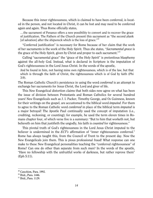Because this inner righteousness, which is claimed to have been conferred, is located in the person, and not located in Christ, it can be lost and may need to be conferred again and again. Thus Rome officially states,

…the sacrament of Penance offers a new possibility to convert and to recover the grace of justification. The Fathers of the Church present this sacrament as "the second plank [of salvation] after the shipwreck which is the loss of grace."<sup>[50](#page-14-0)</sup>

"Conferred justification" is necessary for Rome because of her claim that the work of her sacraments is the work of the Holy Spirit. Thus she states, "*Sacramental grace* is the grace of the Holy Spirit, given by Christ and proper to each sacrament."<sup>[51](#page-14-1)</sup>

Calling "sacramental grace" the "grace of the Holy Spirit" is pretentious blasphemy against the all-holy God. Instead, what is declared in Scripture is the imputation of God's righteousness in the Lord Jesus Christ. In the words of the apostle,

And be found in him, not having mine own righteousness, which is of the law, but that which is through the faith of Christ, the righteousness which is of God by faith (Phi 3:9).

The Roman Catholic Church's persistence in using the word *conferred* is an attempt to exchange her sacraments for Jesus Christ, the Lord and giver of life.

This New Evangelical distortion claims that both sides now agree on what has been the issue of division between Protestants and Roman Catholics for several hundred years! New Evangelicals such as J. I. Packer, Timothy George, and Os Guinness, known for their writings on the gospel, are accustomed to the biblical word *imputed*. For them to agree to the Roman Catholic word *conferred* in place of the biblical term *imputed* is a major betrayal! The Apostle Paul continually used the concept of imputation (i.e., crediting, reckoning, or counting); for example, he used the term eleven times in Romans chapter four, of which verse five is a summary: "But to him that worketh not, but believeth on him that justifieth the ungodly, his faith is *counted* for righteousness."

This pivotal truth of God's righteousness in the Lord Jesus Christ imputed to the believer is undermined in the *ECT's* affirmation of "inner righteousness conferred." Rome has always taught this, from the Council of Trent to the present day. Now the New Evangelicals join them. This is pious professional fraud! What response can one make to these New Evangelical personalities teaching the "conferred righteousness" of Rome? Can one do other than separate from such men? In the words of the apostle, "Have no fellowship with the unfruitful works of darkness, but rather reprove them" (Eph 5:11).

<sup>49</sup> *Catechism,* Para. 1992.

<span id="page-14-0"></span><sup>50</sup> Ibid., Para. 1446.

<span id="page-14-1"></span><sup>&</sup>lt;sup>51</sup> Ibid., Para. 1129.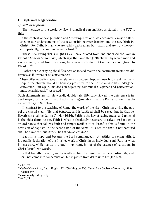### <span id="page-15-0"></span>C. Baptismal Regeneration

#### *1) Faith or baptism?*

The message to the world by New Evangelical personalities as stated in the *ECT* is this:

In the context of evangelization and "re-evangelization," we encounter a major difference in our understanding of the relationship between baptism and the new birth in Christ…For Catholics, all who are validly baptized are born again and are truly, however imperfectly, in communion with Christ. $52$ 

These New Evangelicals might as well have quoted from and endorsed the Roman Catholic *Code of Canon Law*, which says the same thing: "Baptism…by which men and women are a) freed from their sins, b) reborn as children of God, and c) configured to  $Christ...$ "<sup>[53](#page-15-2)</sup>

Rather than clarifying the differences as indeed major, the document treats this difference as if it were of no consequence:

These differing beliefs about the relationship between baptism, new birth, and membership in the church should be honestly presented to the Christian who has undergone conversion. But again, his decision regarding communal allegiance and participation must be assiduously<sup>[54](#page-15-3)</sup> respected.<sup>[55](#page-15-4)</sup>

Such statements are simply worldly double-talk. Biblically viewed, the difference is indeed major, for the doctrine of Baptismal Regeneration that the Roman Church teaches is contrary to Scripture.

In contrast to the teaching of Rome, the words of the risen Christ in giving the gospel are crystal clear: "He that *believeth* and is baptized shall be saved: but he that believeth not shall be damned" (Mar 16:16). Faith is the key of saving grace, and unbelief is the chief damning sin. Faith is what is absolutely necessary to salvation; baptism is an ordinance that follows faith and simply testifies to it. Proof of this is found in the omission of baptism in the second half of the verse. It is not "he that is not baptized shall be damned," but rather "he that *believeth not*."

Baptism is important because the Lord commanded it. It testifies to saving faith. It is a public declaration of the finished work of Christ in an individual soul. Faith is what is necessary, while baptism, though important, is not of the essence of salvation. In Christ Jesus' own words,

He that heareth my word, and believeth on him that sent me, hath everlasting life, and shall not come into condemnation; but is passed from death unto life (Joh 5:24).

<span id="page-15-1"></span><sup>52</sup> *ECT,* 23.

<span id="page-15-2"></span><sup>53</sup> *Code of Canon Law,* Latin-English Ed. (Washington, DC: Canon Law Society of America, 1983), Canon 849.

<span id="page-15-3"></span><sup>54</sup> **assiduously** – diligently.

<span id="page-15-4"></span><sup>55</sup> *ECT*, 24.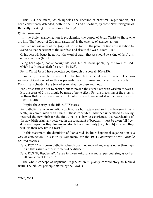This ECT document, which upholds the doctrine of baptismal regeneration, has been consistently defended, both in the USA and elsewhere, by these New Evangelicals. Biblically speaking, this is endorsed heresy!

## *2) Evangelization?*

In the Bible, evangelization is proclaiming the gospel of Jesus Christ to those who are lost. The "power of God unto salvation" is the essence of evangelization:

For I am not ashamed of the gospel of Christ: for it is the power of God unto salvation to everyone that believeth; to the Jew first, and also to the Greek (Rom 1:16).

Of his own will begat he us with the word of truth, that we should be a kind of firstfruits of his creatures (Jam 1:18).

Being born again, not of corruptible seed, but of incorruptible, by the word of God, which liveth and abideth for ever (1Pe 1:23).

For in Christ Jesus I have begotten you through the gospel (1Co 4:15).

For Paul, to evangelize was not to baptize, but rather it was to preach. The consistency of God's Word in this is presented also in James and Peter. Paul's words in 1 Corinthians chapter 1 are true of evangelization then and now:

For Christ sent me not to baptize, but to preach the gospel: not with wisdom of words, lest the cross of Christ should be made of none effect. For the preaching of the cross is to them that perish foolishness…but unto us which are saved it is the power of God (1Co 1:17-18).

Despite the clarity of the Bible, *ECT* states,

For Catholics, all who are validly baptized are born again and are truly, however imperfectly, in communion with Christ…Those converted—whether understood as having received the new birth for the first time or as having experienced the reawakening of the new birth originally bestowed in the sacrament of baptism—must be given full freedom and respect as they discern and decide the community [i.e., church] in which they will live their new life in Christ. [56](#page-16-0)

In this statement, the definition of "converted" includes baptismal regeneration as a way of conversion. This is truly Romanism, for the 1994 *Catechism of the Catholic Church* teaches,

- Para. 1257 "The [Roman Catholic] Church does not know of any means other than Baptism that assures entry into eternal beatitude."
- Para. 1263 "By Baptism *all sins* are forgiven, original sin and all personal sins, as well as all punishment for sin..."

The whole concept of baptismal regeneration is plainly contradictory to biblical truth. The biblical principle stated by the Lord is,

<span id="page-16-0"></span> $\overline{a}$ <sup>56</sup> Ibid, 23-24.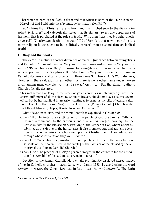That which is born of the flesh is flesh; and that which is born of the Spirit is spirit. Marvel not that I said unto thee, Ye must be born again (Joh 3:6-7).

*ECT* claims that "Christians are to teach and live in obedience to the divinely inspired Scriptures" and categorically states that its signers "reject any appearance of harmony that is purchased at the price of truth." Why, then, have they brought "another gospel"? "Charity…rejoiceth in the truth" (1Co 13:6). Is it that now in our time it is more religiously expedient to be "politically correct" than to stand firm on biblical truth?

## <span id="page-17-0"></span>D. Mary and the Saints

The *ECT* also includes another difference of major significance between evangelicals and Catholics: "Remembrance of Mary and the saints—or—devotion to Mary and the saints." "Remembrance of Mary" is normal for evangelicals, just as we remember many notable persons in the Scriptures. But "devotion to Mary and the saints" is a Roman Catholic doctrine specifically forbidden in those same Scriptures. God's Word declares, "Neither is there salvation in any other: for there is none other name under heaven given among men, whereby we must be saved" (Act 4:12). But the Roman Catholic Church officially declares,

This motherhood of Mary in the order of grace continues uninterruptedly...until the eternal fulfilment of all the elect. Taken up to heaven, she did not lay aside this saving office, but by her manifold intercession continues to bring us the gifts of eternal salvation…Therefore the Blessed Virgin is invoked in the [Roman Catholic] Church under the titles of Advocate, Helper, Benefactress, and Mediatrix... $^{57}$  $^{57}$  $^{57}$ 

What "devotion to Mary and the saints" entails is explained in *Canon Law*,

- Canon 1186 "To foster the sanctification of the people of God the [Roman Catholic] Church recommends to the particular and filial veneration [i.e., worship] by the Christian faithful the Blessed Mary ever Virgin, the Mother of God, whom Christ established as the Mother of the human race; it also promotes true and authentic devotion to the other saints by whose example the Christian faithful are edified and through whose intercession they are sustained."
- Canon 1187 "Veneration [i.e., worship] through public cult is permitted only to those servants of God who are listed in the catalog of the saints or of the blessed by the authority of the [Roman Catholic] Church."
- Canon 1188 "The practice of displaying sacred images in the churches for the veneration [i.e., worship] of the faithful is to remain in force…"

Devotion to the Roman Catholic Mary entails prominently displayed sacred images of her in Catholic churches in accordance with Canon 1188. To avoid using the word *worship*, however, the Canon Law text in Latin uses the word *veneratio*. The Latin

<span id="page-17-1"></span> $\overline{a}$ <sup>57</sup> *Catechism of the Catholic Church,* Para. 969.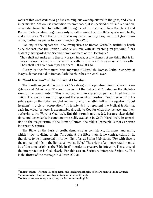roots of this word *veneratio* go back to religious worship offered to the gods, and Venus in particular. Not only is veneration recommended, it is specified as "filial" veneration, or worship from child to mother. All the signers of the document, New Evangelical and Roman Catholic alike, ought seriously to call to mind that the Bible speaks only truth, and it declares, "I am the LORD: that is my name: and my glory will I not give to another, neither my praise to graven images" (Isa 42:8).

Can any of the signatories, New Evangelicals or Roman Catholic, truthfully brush aside the fact that the Roman Catholic Church, with its teaching magisterium, [58](#page-18-1) has blatantly disregarded the Second Commandment of the Decalogue?

Thou shalt not make unto thee any graven image, or any likeness of any thing that is in heaven above, or that is in the earth beneath, or that is in the water under the earth: Thou shalt not bow down thyself to them… (Exo 20:4-5).

Clearly distinct from mere "remembrance of Mary," the Roman Catholic *worship* of Mary is demonstrated in Roman Catholic churches the world over.

#### <span id="page-18-0"></span>E. "Soul freedom" of the Individual Christian

The fourth major difference in *ECT's* catalogue of separating issues between evangelicals and Catholics is "The soul freedom of the individual Christian or the Magisterium of the community."[59](#page-18-2) This is worded with an expression perhaps lifted from the 1960s. The words chosen to represent the evangelical position, "soul freedom," put a subtle spin on the statement that inclines one to the latter half of the equation. "Soul freedom" is a clever obfuscation. $60$  It is intended to represent the biblical truth that each individual believer is accountable directly to God for what they believe, and their authority is the Word of God itself. But this term is not needed, because clear definitions and dependable instruction are readily available in God's Word itself. In opposition to the magisterium of the Roman Church, the biblical principle is that Scripture interprets Scripture.

The Bible, as the basis of truth, demonstrates consistency, harmony, and unity, which show its divine origin. Throughout the Bible there is no contradiction. It is, therefore, to be interpreted in its own light for, as Psalm 36:9 states, "For with thee is the fountain of life: in thy light shall we see light." The origin of an interpretation must be of the same origin as the Bible itself in order to preserve its integrity. The source of the interpretation is God, clearly. For this reason, Scripture interprets Scripture. This is the thrust of the message in 2 Peter 1:20-21:

<span id="page-18-1"></span><sup>58</sup> **magisterium** – Roman Catholic term: the teaching authority of the Roman Catholic Church.

<span id="page-18-2"></span><sup>59</sup> **community** – local or worldwide Roman Catholic Church.

<span id="page-18-3"></span><sup>60</sup> **obfuscation** – making something unclear or unintelligible.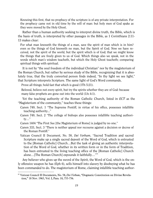Knowing this first, that no prophecy of the scripture is of any private interpretation. For the prophecy came not in old time by the will of man: but holy men of God spake as they were moved by the Holy Ghost.

Rather than a human authority seeking to interpret divine truth, the Bible, which is the basis of truth, is interpreted by other passages in the Bible, as 1 Corinthians 2:11- 13 makes clear:

For what man knoweth the things of a man, save the spirit of man which is in him? even so the things of God knoweth no man, but the Spirit of God. Now we have received, not the spirit of the world, but the spirit which is of God; that we might know the things that are freely given to us of God. Which things also we speak, not in the words which man's wisdom teacheth, but which the Holy Ghost teacheth; comparing spiritual things with spiritual.

It is not by "the soul freedom of the individual Christian" nor by the magisterium of the Roman Church, but rather by serious study of the Bible, recognizing that it is absolutely true, that the truly converted person finds indeed, "In thy light we see light," that Scripture interprets Scripture. The same light of God's Word commands,

Prove all things; hold fast that which is good (1Th 5:21).

 $\overline{a}$ 

Beloved, believe not every spirit, but try the spirits whether they are of God: because many false prophets are gone out into the world (1Jo 4:1).

Yet the teaching authority of the Roman Catholic Church, listed in *ECT* as the "Magisterium of the community," teaches these things:

- Canon 749, Sect. 1 "The Supreme Pontiff, in virtue of his office, possesses infallible teaching authority..."
- Canon 749, Sect. 2 "The college of bishops also possesses infallible teaching authority…"

Canon 1404 "The First See [the Magisterium of Rome] is judged by no one."

- Canon 333, Sect. 3 "There is neither appeal nor recourse against a decision or decree of the Roman Pontiff."
- Vatican Council II Document, No. 58, *Dei Verbum*, "Sacred Tradition and sacred Scripture make up a single sacred deposit of the Word of God, which is entrusted to the [Roman Catholic] Church…But the task of giving an authentic interpretation of the Word of God, whether in its written form or in the form of Tradition, has been entrusted to the living teaching office of the [Roman Catholic] Church alone...[The Roman Church] expounds it faithfully..."<sup>[61](#page-19-0)</sup>

Any believer who gives up the sword of the Spirit, the Word of God, which is the only offensive weapon he has (Eph 6), sells himself into slavery by disobeying what he has been commanded to do. The magisterium of Rome, claiming infallible teaching author-

<span id="page-19-0"></span><sup>61</sup> Vatican Council II Documents, No. 58, *Dei Verbum*, "Dogmatic Constitution on Divine Revelation," 18 Nov. 1965, Vol. I, Para. 10, 755-756.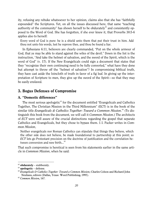ity, refusing any rebuke whatsoever to her opinion, claims also that she has "faithfully expounded" the Scriptures. Yet, on all the issues discussed here, that same "teaching authority of the community" has shown herself to be obdurately $62$  and consistently opposed to the Word of God. She has forgotten, if she ever knew it, that Proverbs 30:5-6 applies also to herself:

Every word of God is pure: he is a shield unto them that put their trust in him. Add thou not unto his words, lest he reprove thee, and thou be found a liar.

In Ephesians 6:11, believers are clearly commanded, "Put on the whole armour of God, that ye may be able to stand against the wiles of the devil." Down in the list is the instruction, "And take the helmet of salvation, and the sword of the Spirit, which is the word of God" (v. 17). If the New Evangelicals could sign a document that states that they "recognize their own continuing need to be fully converted," what have they done but attempt to throw off the "helmet of salvation"? In compromising biblical truth, they have cast aside the loincloth of truth in favor of a fig leaf. In giving up the interpretation of Scripture to men, they give up the sword of the Spirit—so that they may be easily enslaved.

# <span id="page-20-0"></span>3. Bogus Defenses of Compromise

#### <span id="page-20-1"></span>A. "Domestic differences"

The most serious apologetic $<sup>63</sup>$  $<sup>63</sup>$  $<sup>63</sup>$  for the document entitled "Evangelicals and Catholics"</sup> Together, The Christian Mission in the Third Millennium" (ECT) is in the book of the similar title *Evangelicals & Catholics Together: Toward a Common Mission*. [64](#page-20-4) (To distinguish this book from the document, we will call it *Common Mission*.) The architects of *ECT* were well aware of the crucial distinctions regarding the gospel that separate Catholics and Evangelicals, but they chose to bypass them. J.I. Packer writes in *Common Mission*,

Neither evangelicals nor Roman Catholics can stipulate that things they believe, which the other side does not believe, be made foundational to partnership at this point; so *ECT* lets go Protestant precision on the doctrine of justification and the correlation be-tween conversion and new birth...<sup>[65](#page-20-5)</sup>

That such compromise is heretical is seen from his statements earlier in the same article in *Common Mission*, when he said:

<span id="page-20-2"></span><sup>62</sup> **obdurately** – stubbornly.

<span id="page-20-3"></span><sup>63</sup> **apologetic** – defense.

<span id="page-20-4"></span><sup>64</sup> *Evangelicals & Catholics Together: Toward a Common Mission*; Charles Colson and Richard John Neuhaus, editors (Dallas, Texas: Word Publishing, 1995).

<span id="page-20-5"></span><sup>65</sup> *Common Mission,* 167.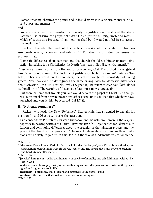Roman teaching obscures the gospel and indeed distorts it in a tragically anti-spiritual and unpastoral manner...<sup>[66](#page-21-1)</sup>

and

Rome's official doctrinal disorders, particularly on justification, merit, and the Masssacrifice. $67$  so obscure the gospel that were I, as a gesture of unity, invited to mass which of course as a Protestant I am not, nor shall be—I would not feel free to accept the invitation. $68$ 

Packer, towards the end of the article, speaks of the evils of "humanism…materialism, hedonism, and nihilism."[69](#page-21-4) To rebuild a Christian consensus, he proposes that,

Domestic differences about salvation and the church should not hinder us from joint action in seeking to re-Christianize the North American milieu [i.e., environment].<sup>[70](#page-21-5)</sup>

These are amazing words from the author of *Knowing God.* The orthodox evangelical Jim Packer of old spoke of the doctrine of justification by faith alone, *sola fide*, as "like Atlas, it bears a world on its shoulders, the entire evangelical knowledge of saving grace"! Now, however, he downgrades the same saving faith to "domestic differences about salvation." In a 1994 article, "Why I Signed It," he refers to *sola fide* (faith alone) as "small print." The warning of the apostle Paul must now sound again,

But there be some that trouble you, and would pervert the gospel of Christ. But though we, or an angel from heaven, preach any other gospel unto you than that which we have preached unto you, let him be accursed (Gal 1:7-8).

#### <span id="page-21-0"></span>B. "Notional soundness"

Packer, who leads the New "Reformed" Evangelicals, has struggled to explain his position. In a 1996 article, he asks the question,

Can conservative Protestants, Eastern Orthodox, and mainstream Roman Catholics join together in bearing witness to all that I have spoken of? I urge that we can, despite our known and continuing differences about the specifics of the salvation process and the place of the church in that process…To be sure, fundamentalists within our three traditions are unlikely to join us in this, for it is the way of fundamentalists to follow the

 $\overline{a}$ <sup>66</sup> Ibid., 153.

<span id="page-21-2"></span><span id="page-21-1"></span><sup>67</sup> **Mass-sacrifice** – Roman Catholic doctrine holds that the body of Jesus Christ is sacrificed again and again in each Catholic worship service (Mass), and His actual blood and body are eaten in the Lord's Supper (Eucharist).

<span id="page-21-3"></span><sup>68</sup> Ibid., 162-163.

<span id="page-21-4"></span><sup>69</sup> [secular] **humanism** – belief that humanity is capable of morality and self-fulfillment without belief in God.

**materialism** – philosophy that physical well-being and worldly possessions constitute the greatest good and highest values in life.

**hedonism** – philosophy that pleasure and happiness is the highest good.

**nihilism** – the doctrine that existence or values are meaningless.

<span id="page-21-5"></span> $70$  Ibid., 172.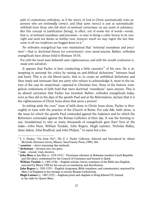path of contentious orthodoxy, as if the mercy of God in Christ automatically rests on persons who are *notionally correct*, and [that same mercy] is just as automatically withheld from those who fall short of *notional correctness* on any point of substance. But this concept of justification [being], in effect, not of works but of words—words, that is, of *notional soundness and precision*—is near to being a cultic heresy in its own right and need not detain us further now, however much we may regret the fact that some in all our traditions are bogged down in it.<sup>[71](#page-22-0)</sup>

No orthodox evangelical has ever maintained that "notional soundness and precision"—that is, doctrinal theory [or correctness]—ever saved anyone. Rather, orthodox evangelicals have always held to Romans 10:10,

For with the heart *man believeth* unto righteousness; and with the mouth confession is made unto salvation.

It appears that Packer is here conducting a little casuistry<sup>[72](#page-22-1)</sup> of his own. He is at-tempting to preempt his critics by raising an anti-biblical dichotomy<sup>[73](#page-22-2)</sup> between head and heart. This is an old liberal tactic, that is, to create an unbiblical dichotomy and then imply and insinuate that any party who refuses to acknowledge it, must in the nature of the case be unspiritual—opposed to Christian love. None of the historic evangelical confessions of faith hold that mere doctrinal "soundness" saves anyone. This is an absurd caricature that Packer has invented. Rather, orthodox evangelicals today, even as they did in the days of the apostle Paul and at the Reformation, declare that it is the righteousness of Christ Jesus alone that saves a person!

In setting aside the crux<sup> $74$ </sup> issue of faith alone in Christ Jesus alone, Packer is thoroughly in tune with the practice of the Church of Rome. For *sola fide*, faith alone, is *the* issue for which the apostle Paul contended against the Judaizers and for which the Reformers contended against the Roman Catholics of their day. It was the burning issue, foundational to why so many thousands of evangelicals gave their lives at the stake—John Huss, William Tyndale, John Rogers, Hugh Latimer, Nicholas Ridley, Anne Askew, John Bradford, and John Philpot,<sup>[75](#page-22-4)</sup> to name but a few.

<span id="page-22-0"></span><sup>71</sup> J. I. Packer, "On from Orr", *The J. I. Packer Collection*, Selected and Introduced by Alister McGrath (Downers Grove, Illinois: InterVarsity Press, 1999), 264.

<span id="page-22-1"></span> $72$  casuistry – clever reasoning that misleads.

<span id="page-22-2"></span><sup>73</sup> **dichotomy** – division into two parts.

<span id="page-22-3"></span> $74$  crux – crucial; vital; decisive.

<span id="page-22-4"></span><sup>75</sup> **John Huss** or Jan Hus (c. 1370-1415) – Protestant reformer in Bohemia (modern Czech Republic and Slovakia); condemned by the Council of Constance and burned to death.

**William Tyndal**e (c. 1492-1536) – English scholar; heroic translator of the Bible into English; executed by Henry VIII for his success in translation and distribution.

**John Rogers** (c. 1505-1555) – English clergyman, Bible translator, and commentator; martyred by Mary I of England in her attempt to restore Roman Catholicism.

**Hugh Latimer** (c.  1487-1555) – Anglican priest and chaplain to King Edward VI; burned at the stake by Queen Mary.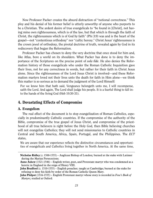Now Professor Packer creates the absurd distraction of "notional correctness." This ploy and his denial of his former belief is utterly unworthy of anyone who purports to be a Christian. The ardent desire of true evangelicals to "be found in [Christ], not having mine own righteousness, which is of the law, but that which is through the faith of Christ, the righteousness which is of God by faith" (Phi 3:9) was and is the heart of the gospel—not "contentious orthodoxy" nor "cultic heresy." Christ Jesus' righteousness is the crown jewel of orthodoxy, the pivotal doctrine of truth, revealed again by God in its rediscovery that began the Reformation.

Professor Packer has chosen to deny the very doctrine that once stood for him and, like Atlas, bore a world on its shoulders. What Packer has done is to deny the importance of the Scriptures on the precise point of *sola fide*. He also denies the Reformation history of those evangelicals who under the Roman Catholic Inquisition gave their lives, not for any correctness in words, but rather for their faith in Christ Jesus alone. Since the righteousness of the Lord Jesus Christ is involved—and these Reformation martyrs loved not their lives unto the death for faith in Him alone—we think this matter is so serious as to demand the judgment of the Lord Himself:

For we know him that hath said, Vengeance belongeth unto me, I will recompense, saith the Lord. And again, The Lord shall judge his people. It is a fearful thing to fall into the hands of the living God (Heb 10:30-31).

# <span id="page-23-0"></span>4. Devastating Effects of Compromise

#### <span id="page-23-1"></span>A. Evangelism

 $\overline{a}$ 

The real effect of the document is to stop evangelization of Roman Catholics, especially in predominantly Catholic countries. If the compromise of the authority of the Bible, compromise of the true gospel of Jesus Christ, and compromise of the priesthood of all true believers is right before the Holy God, then Bible believing churches will not evangelize Catholics; they will not send missionaries to Catholic countries in Central and South America, Africa, Spain, Portugal, and the Philippines. The *ECT* states,

We are aware that our experience reflects the distinctive circumstances and opportunities of evangelicals and Catholics living together in North America. At the same time,

**Nicholas Ridley** (c. 1500-1555) – Anglican Bishop of London; burned at the stake with Latimer during the Marian Persecutions.

**Anne Askew** (1521-1546) – English writer, poet, and Protestant martyr who was condemned as a heretic in England in the reign of Henry VIII.

**John Bradford** (c. 1510-1555) – English preacher; taught at Cambridge; burned at the stake for refusing to deny his faith by order of the Roman Catholic Queen Mary.

**John Philpot** (1516-1555) – English Protestant martyr whose story is recorded in *Foxe's Book of Martyrs*; studied at Oxford.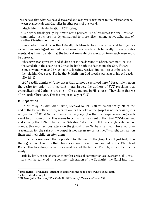we believe that what we have discovered and resolved is pertinent to the relationship between evangelicals and Catholics in other parts of the world.

Much later in its declaration, *ECT* states,

It is neither theologically legitimate nor a prudent use of resources for one Christian community [i.e., church or denomination] to proselytize<sup>[76](#page-24-1)</sup> among active adherents of another Christian community.<sup>[77](#page-24-2)</sup>

Since when has it been theologically illegitimate to expose error and heresy? Because these intelligent and educated men have made such biblically illiterate statements, it is time to state that the biblical mandate of separation from such men must be observed!

Whosoever transgresseth, and abideth not in the doctrine of Christ, hath not God. He that abideth in the doctrine of Christ, he hath both the Father and the Son. If there come any unto you, and bring not this doctrine, receive him not into your house, neither bid him God speed: For he that biddeth him God speed is partaker of his evil deeds (2Jo 1:9-11).

*ECT* readily admits of "differences that cannot be resolved here." Based solely upon the desire for union on important moral issues, the authors of *ECT* proclaim that evangelicals and Catholics are one in Christ and one in His church. They claim that we all are truly Christians. This is a major fallacy of *ECT*.

#### <span id="page-24-0"></span>B. Separation

In his essay in *Common Mission*, Richard Neuhaus states emphatically, "If, at the end of the twentieth century, separation for the sake of the gospel is not necessary, it is not justified."[78](#page-24-3) What Neuhaus was effectively saying is that the gospel is no longer relevant to Christian unity. This seems to be the precise intent of the 1994 *ECT* document and equally the 1997 "The Gift of Salvation" document. If true evangelicals do not combat this most serious attack on the gospel, then Neuhaus' anti-scriptural words— "separation for the sake of the gospel is not necessary or justified"—might well fall on them and their children after them.

If the lie is swallowed that separation for the sake of the gospel is not justified, then the logical conclusion is that churches should cave in and submit to the Church of Rome. This has always been the avowed goal of the Mother Church, as her documents verify:

Little by little, as the obstacles to perfect ecclesial communion are overcome, all Christians will be gathered, in a common celebration of the Eucharist [the Mass] into that

<span id="page-24-1"></span><sup>76</sup> **proselytize** – evangelize; attempt to convert someone to one's own religious faith.

<span id="page-24-2"></span><sup>77</sup> *ECT*, Introduction, 1.

<span id="page-24-3"></span><sup>78</sup> Richard John Neuhaus, "The Catholic Difference," *Common Mission*, 199.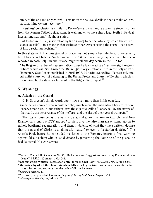unity of the one and only church…This unity, we believe, dwells in the Catholic Church as something we can never lose.<sup>[79](#page-25-2)</sup>

Neuhaus' conclusion is similar to Packer's—and even more alarming since it comes from the Roman Catholic side. Rome is well known to have sharp legal teeth in its deal-ings among nations.<sup>[80](#page-25-3)</sup> Neuhaus states,

But to declare it [i.e., justification by faith alone] to be the article by which the church stands or falls<sup>[81](#page-25-4)</sup>—in a manner that excludes other ways of saying the gospel—is to turn it into a sectarian doctrine.<sup>[82](#page-25-5)</sup>

In this statement, the true gospel of grace has not simply been declared unnecessary, but it has been labeled a "sectarian doctrine." What has already happened and has been reported in both Belgium and France might well one day occur in the USA too:

The Belgian Chamber of Representatives passed a law creating a "sect oversight organization" which will "scrutinize" the 189 religious organizations listed in the Belgian Parliamentary Sect Report published in April 1997...Minority evangelical, Pentecostal, and Adventist churches not belonging to the United Protestant Church of Belgium, which is recognized by the state, are targeted in the Belgian Sect Report.<sup>[83](#page-25-6)</sup>

# <span id="page-25-0"></span>5. Warnings

#### <span id="page-25-1"></span>A. Attack on the Gospel

C. H. Spurgeon's timely words apply now even more than in his own day,

Since he was cursed who rebuilt Jericho, much more the man who labors to restore Popery among us. In our fathers' days the gigantic walls of Popery fell by the power of their faith, the perseverance of their efforts, and the blast of their gospel trumpets.<sup>[84](#page-25-7)</sup>

The gospel trumpet is the very issue at stake, for the Roman Catholic and New Evangelical signers of *ECT* and *ECT II* first give the false message of Rome, go on to uphold baptismal regeneration, and then, in defense of what they have written, declare that the gospel of Christ is a "domestic matter" or even a "sectarian doctrine." The Apostle Paul, before he concluded his letter to the Romans, inserts a final warning against false teachers who cause divisions by perverting the doctrine of the gospel he had delivered. His words were,

<span id="page-25-2"></span><sup>79</sup> Vatican Council II Documents No. 42, "Reflections and Suggestions Concerning Ecumenical Dialogue," S.P.U.C., 15 August 1975, 541.

<span id="page-25-3"></span><sup>80</sup> See our article "Vatican Prepares to Control through Civil Law," *The Beacon*, No. 6, June 2001.

<span id="page-25-4"></span><sup>81</sup> **the article by which the church stands or falls** – the key doctrine that defines the condition for true salvation and entrance into the body of all true believers.

<span id="page-25-5"></span><sup>82</sup> *Common Mission*, 207.

<span id="page-25-6"></span><sup>83</sup> "Growing Religious Intolerance in Belgium," *Evangelical Times*, August 1998.

<span id="page-25-7"></span><sup>84</sup> *Morning and Evening* on Joshua 6:26.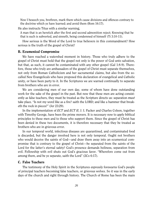Now I beseech you, brethren, mark them which cause divisions and offences contrary to the doctrine which ye have learned; and avoid them (Rom 16:17).

He also instructs Titus with a similar warning,

A man that is an heretick after the first and second admonition reject; Knowing that he that is such is subverted, and sinneth, being condemned of himself (Ti 3:10-11).

How serious is the Word of the Lord to true believers in this commandment? How serious is the truth of the gospel of Christ?

#### <span id="page-26-0"></span>B. Ecumenical Compromise

We have reached a watershed moment in history. Those who truly adhere to the gospel of Christ must hold that the gospel not only is the power of God unto salvation, but that, as such, it cannot be contaminated with any other gospel (Gal 1:8-9). Therefore, those who truly are ambassadors of the gospel of Christ must separate themselves, not only from Roman Catholicism and her sacramental claims, but also from the socalled New Evangelicals who have proposed this declaration of evangelical and Catholic unity, or have been party to it. In the Scriptures we are warned continually to separate from brothers who are in error.

We are considering men of our own day, some of whom have done outstanding work for the sake of the gospel in the past. But now that these men are acting consistently as false teachers, they must be treated as the Scripture directs us: separation *must* take place. "Is not my word like as a fire? saith the LORD; and like a hammer that breaketh the rock in pieces?" (Jer 23:29).

In the implementation of *ECT* and *ECT II*, J. I. Packer and Charles Colson, together with Timothy George, have been the prime movers. It is necessary now to apply biblical principles to these men and to those who support them. Since the gospel of Christ has been denied in these two documents, it is therefore necessary that they be treated as brothers who are in grievous error.

In our temporal world, infectious diseases are quarantined, and contaminated food is discarded, but the danger involved here is not only temporal. Ought not brothers who would deceive the saints of God—and draw them away into an ecumenical compromise that is contrary to the gospel of Christ—be separated from the saints of the Lord for the latter's eternal safety? God's presence demands holiness, separation from evil. Fellowship with evil shuts out God's gracious favor. "Wherefore come out from among them, and be ye separate, saith the Lord" (2Co 6:17).

#### <span id="page-26-1"></span>C. False Teachers

The testimony of the Holy Spirit in the Scriptures expressly forewarns God's people of principal teachers becoming false teachers, or grievous wolves. So it was in the early days of the church and right through history. The Church of Rome has been the main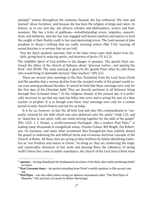apostate $85$  system throughout the centuries because she has embraced "the wise and learned" above Scripture, and because she has been the religion of kings and rulers. In history, as in our own day, she attracts scholars and philosophers, writers and businessmen. She has a form of godliness—notwithstanding errors, impieties, superstitions, and idolatries. And she has now engaged well-known teachers and pastors to lend the weight of their fleshly credit to her soul-destroying errors. The Lord warned of false prophets in sheep's clothing that are really ravening wolves (Mat 7:15). Leaving off sound doctrine is so serious that we are told,

Now the Spirit speaketh expressly, that in the latter times some shall depart from the faith, giving heed to seducing spirits, and doctrines of devils (1Ti 4:1-2).

The infallible Spirit of God testifies to the danger of apostasy. The apostle Paul cautioned the elders of the church at Ephesus about "grievous wolves…not sparing the flock" (Act 20:29). The same warning is given by the apostle Peter when he calls those who would bring in damnable heresies "false teachers" (2Pe 2:1).

There are several clear warnings in the New Testament from the Lord Jesus Christ and His apostles that a serious decline from the revealed truths of the gospel would occur even among professed disciples. It cannot be held that these warnings were only for the first days of the Christian faith! They are directly pertinent to all believers living through New Covenant times. $86$  In the religious climate of the present day, it is politically incorrect to say that any man has fallen into error and is acting the part of a false teacher or prophet. It is as though even these clear warnings were only for a certain period of early church history and not for us today.

It is for us, however, to fear the all-holy God and obey His commandment to "earnestly contend for the faith which was once delivered unto the saints" (Jude 1:3), and to "stand fast in one spirit, with one mind striving together for the faith of the gospel" (Phi 1:27). J. I. Packer, a world-renowned theologian, like a modern Pied Piper,  $s<sup>7</sup>$  is leading many thousands of evangelicals astray. Charles Colson, Bill Bright, Pat Robertson, Os Guinness, and many other prominent New Evangelicals have publicly denied the gospel in endorsing the anti-biblical terms and erroneous doctrinal concepts of the Church of Rome. All these men are acting as false brethren by falsely identifying Catholics as "our brothers and sisters in Christ." In doing so, they are reinforcing the tragic and catastrophic delusions of lost souls and denying them the substance of saving truth! Unless they come to public repentance, the church of the Lord Jesus Christ must

<span id="page-27-0"></span><sup>85</sup> **apostate** – having abandoned the fundamental doctrines of the faith, after earlier professing belief in Christ.

<span id="page-27-1"></span><sup>86</sup> **New Covenant times** – the period extending from Christ's earthly ministry to His second coming.

<span id="page-27-2"></span><sup>87</sup> **Pied Piper** – one who offers others strong yet delusive enticements (after "The Pied Piper of Hamelin," title and hero of a poem by Robert Browning).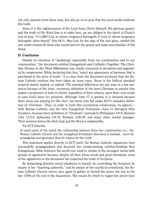not only separate from these men, but also go on to pray that the Lord would vindicate His truth.

Since it is the righteousness of the Lord Jesus Christ Himself, His glorious gospel, and the truth of His Word that is at stake here, we are obliged in the Spirit of Christ's love to pray, "O LORD God, to whom vengeance belongeth; O God, to whom vengeance belongeth, shew thyself" (Psa 94:1). May God, for the sake of His own glory, exhibit His just wrath toward all those who would pervert the gospel and make merchandise of His sheep.

#### <span id="page-28-0"></span>D. Conclusion

Despite its intention of "speak[ing] responsibly from our communities and to our communities," the document entitled *Evangelicals and Catholics Together: The Christian Mission in the Third Millennium* was clearly conceived in deception and negotiated by compromise. While declaring that they "reject any appearance of harmony that is purchased at the price of truth," it is clear from the document produced that the Roman Catholic position has been taken on every issue. Never is the biblical standard properly stated, applied, or upheld. The essential differences are put away in a few sentences because of the loose, erroneous definition of the term *Christian* as anyone who makes a profession of faith in Christ, regardless of their reliance upon their own works to earn God's favor for salvation. Although John 17 is quoted, it is misused because there Jesus was praying for His elect, not those who fall under *ECT's* mistaken definition of "Christian." Thus, in order to form this ecumenical compromise, its signers both Roman Catholic and the New Evangelical Protestant—have to disregard Holy Scripture, because their definition of "Christian" contradicts Philippians 3:8-9, Romans 3:24, 11:5-6, Ephesians 2:8-10, Romans 2:28-29, and many other similar passages. Their position before the Holy God and His Word is indefensible.

Yet *ECT* laments,

In many parts of the world, the relationship between these two communities [i.e., the Roman Catholic Church and the evangelical Protestant churches] is marked…more by propaganda and ignorance than by respect for the truth.

This statement applies directly to *ECT* itself: the Roman Catholic signatories have successfully propagandized and deceived the compromising, wishful-thinking New Evangelicals. Bible believers the world over need to rebuke in the strongest terms both groups of signatories because, despite all their pious words and good intentions, none of the signatories to the document has respected the truth of Scripture.

By demanding absolute moral obedience to herself, by controlling the Scripture by means of her "teaching authority," and by means of her sacrificial priesthood, the Roman Catholic Church moves once again to gather to herself the power she lost in the late 1700s at the end of the Inquisition. The means by which to regain her power have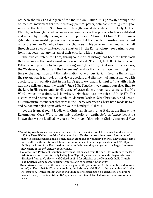not been the rack and dungeon of the Inquisition. Rather, it is primarily through the ecumenical movement that the necessary political power, obtainable through the ignorance of the truth of Scripture and through forced dependence on "Holy Mother Church," is being gathered. Whoever can commandeer this power, which is established and upheld by worldly means, is then the purported "church of Christ." This unmitigated desire for worldly power was the reason that the bloody Inquisition was carried on by the Roman Catholic Church for 605 years. Bible believing men and women all through those bloody centuries were martyred by the Roman Church for daring to confront that power-hungry system of their own day with the truth.

The true church of the Lord, throughout most of history, has been the little flock that remembers the Lord's Word and was not afraid. "Fear not, little flock; for it is your Father's good pleasure to give you the kingdom" (Luk 12:32). So it was for the Vaudois, the Waldenses, Lollards, and the Bohemians<sup>[88](#page-29-0)</sup> and for the men and women through the time of the Inquisition and the Reformation. One of our Savior's favorite themes was the servant who is faithful. In this day of apostasy and alignment of famous names with apostasy, it is imperative that in the Lord's grace we remain faithful to "the faith which was once delivered unto the saints" (Jude 1:3). Together, we commit ourselves then to the Lord in His sovereignty, to His gospel of grace alone through faith alone, and to His Word—which proclaims, as it is written, "My sheep hear my voice" (Joh 10:27). The distortion and perversion of true biblical doctrine leads to false Christianity and deceitful ecumenism. "Stand fast therefore in the liberty wherewith Christ hath made us free, and be not entangled again with the yoke of bondage" (Gal 5:1).

Let the trumpet sound loudly with Christian distinctives as it did at the time of the Reformation! God's Word is our only authority on earth. *Sola scriptura!* Let it be known that we are justified by grace only through faith only in Christ Jesus only! *Sola* 

<span id="page-29-0"></span><sup>88</sup> **Vaudois, Waldenses** – two names for the ascetic movement within Christianity founded around 1173 by Peter Waldo, a wealthy Italian merchant. Waldensian teachings were a forerunner of many Protestant beliefs, and also included an emphasis on voluntary poverty. They quickly came into conflict with the Catholic Church and were subject to intense persecution by 1215. Upon finding the ideas of the Reformation similar to their own, they merged into the larger Protestant movement in the  $16<sup>th</sup>$  century as Calvinists.

**Lollards** – pre-Protestant Christian movement that existed from the mid-14th century to the English Reformation. It was initially led by John Wycliffe, a Roman Catholic theologian who was dismissed from the University of Oxford in 1381 for criticism of the Roman Catholic Church. The Lollards' demands were primarily for reform of Western Christianity.

**Bohemians** – residents of the westernmost region of the present-day Czech Republic, and followers of Jan Hus (1369-1415), whose teachings included many biblical truths later embodied in the Reformation. Armed conflict with the Catholic rulers ensued upon his execution. The area remained mostly Hussite until the 1620s, when a Protestant defeat led to a forced return to Catholicism.